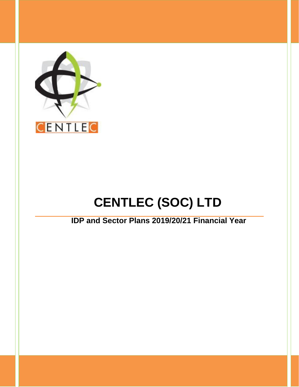

# **CENTLEC (SOC) LTD**

# **IDP and Sector Plans 2019/20/21 Financial Year**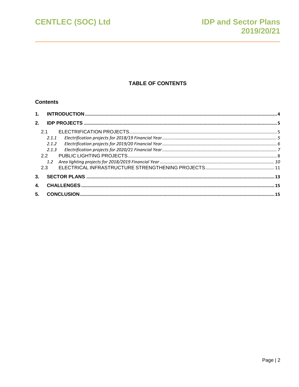**CENTLEC (SOC) Ltd** 

## **TABLE OF CONTENTS**

#### **Contents**

| 2.1.1 |  |
|-------|--|
| 2.1.2 |  |
| 2.1.3 |  |
| 22    |  |
|       |  |
|       |  |
|       |  |
|       |  |
|       |  |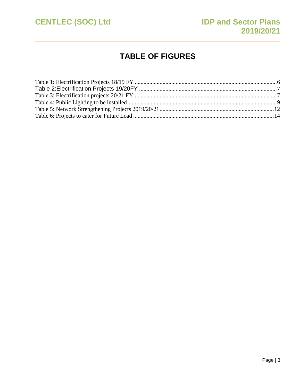

# **TABLE OF FIGURES**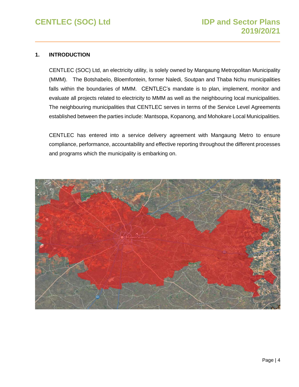#### <span id="page-3-0"></span>**1. INTRODUCTION**

CENTLEC (SOC) Ltd, an electricity utility, is solely owned by Mangaung Metropolitan Municipality (MMM). The Botshabelo, Bloemfontein, former Naledi, Soutpan and Thaba Nchu municipalities falls within the boundaries of MMM. CENTLEC's mandate is to plan, implement, monitor and evaluate all projects related to electricity to MMM as well as the neighbouring local municipalities. The neighbouring municipalities that CENTLEC serves in terms of the Service Level Agreements established between the parties include: Mantsopa, Kopanong, and Mohokare Local Municipalities.

CENTLEC has entered into a service delivery agreement with Mangaung Metro to ensure compliance, performance, accountability and effective reporting throughout the different processes and programs which the municipality is embarking on.

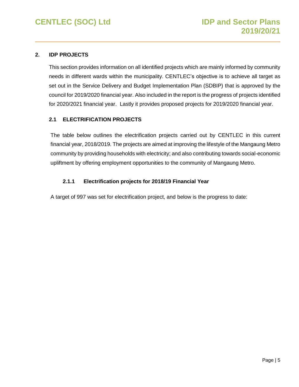#### <span id="page-4-0"></span>**2. IDP PROJECTS**

This section provides information on all identified projects which are mainly informed by community needs in different wards within the municipality. CENTLEC's objective is to achieve all target as set out in the Service Delivery and Budget Implementation Plan (SDBIP) that is approved by the council for 2019/2020 financial year. Also included in the report is the progress of projects identified for 2020/2021 financial year. Lastly it provides proposed projects for 2019/2020 financial year.

#### <span id="page-4-1"></span>**2.1 ELECTRIFICATION PROJECTS**

The table below outlines the electrification projects carried out by CENTLEC in this current financial year, 2018/2019. The projects are aimed at improving the lifestyle of the Mangaung Metro community by providing households with electricity; and also contributing towards social-economic upliftment by offering employment opportunities to the community of Mangaung Metro.

#### **2.1.1 Electrification projects for 2018/19 Financial Year**

<span id="page-4-2"></span>A target of 997 was set for electrification project, and below is the progress to date: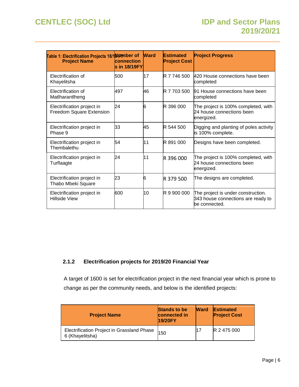# **CENTLEC (SOC) Ltd IDP and Sector Plans**

<span id="page-5-1"></span>

| Table 1: Electrification Projects 18/1 Number of<br><b>Project Name</b> | connection<br>ls in 18/19FY | <b>Ward</b> | <b>Estimated</b><br><b>Project Cost</b> | <b>Project Progress</b>                                                                   |
|-------------------------------------------------------------------------|-----------------------------|-------------|-----------------------------------------|-------------------------------------------------------------------------------------------|
| Electrification of<br>Khayelitsha                                       | 500                         | 17          | R 7 746 500                             | 420 House connections have been<br>completed                                              |
| Electrification of<br>Matlharantlheng                                   | 497                         | 46          | R 7 703 500                             | 91 House connections have been<br>completed                                               |
| Electrification project in<br>Freedom Square Extension                  | 24                          | 6           | R 396 000                               | The project is 100% completed, with<br>24 house connections been<br>energized.            |
| Electrification project in<br>Phase 9                                   | 33                          | 45          | R 544 500                               | Digging and planting of poles activity<br>is 100% complete.                               |
| Electrification project in<br>Thembalethu                               | 54                          | 11          | R 891 000                               | Designs have been completed.                                                              |
| Electrification project in<br>Turflaagte                                | 24                          | 11          | R 396 000                               | The project is 100% completed, with<br>24 house connections been<br>energized.            |
| Electrification project in<br>Thabo Mbeki Square                        | 23                          | 6           | R 379 500                               | The designs are completed.                                                                |
| Electrification project in<br>Hillside View                             | 600                         | 10          | R 9 900 000                             | The project is under construction.<br>343 house connections are ready to<br>be connected. |

### <span id="page-5-0"></span>**2.1.2 Electrification projects for 2019/20 Financial Year**

A target of 1600 is set for electrification project in the next financial year which is prone to change as per the community needs, and below is the identified projects:

| <b>Project Name</b>                                           | <b>Stands to be</b><br>connected in<br><b>19/20FY</b> | <b>Ward</b> | <b>Estimated</b><br><b>Project Cost</b> |
|---------------------------------------------------------------|-------------------------------------------------------|-------------|-----------------------------------------|
| Electrification Project in Grassland Phase<br>6 (Khayelitsha) | 150                                                   |             | R 2 475 000                             |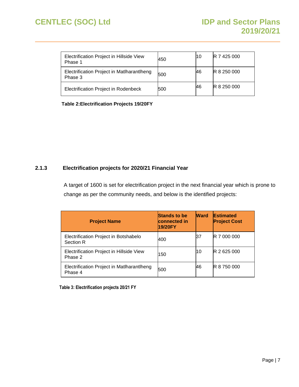# **CENTLEC (SOC) Ltd IDP and Sector Plans**

| Electrification Project in Hillside View<br>Phase 1   | 450 | 10 | <b>R</b> 7 425 000 |
|-------------------------------------------------------|-----|----|--------------------|
| Electrification Project in Matlharantlheng<br>Phase 3 | 500 | 46 | R 8 250 000        |
| Electrification Project in Rodenbeck                  | 500 | 46 | R 8 250 000        |

<span id="page-6-1"></span>**Table 2:Electrification Projects 19/20FY**

#### <span id="page-6-0"></span>**2.1.3 Electrification projects for 2020/21 Financial Year**

A target of 1600 is set for electrification project in the next financial year which is prone to change as per the community needs, and below is the identified projects:

| <b>Project Name</b>                                   | <b>Stands to be</b><br><b>connected</b> in<br>19/20FY | <b>Ward</b> | <b>Estimated</b><br><b>Project Cost</b> |
|-------------------------------------------------------|-------------------------------------------------------|-------------|-----------------------------------------|
| Electrification Project in Botshabelo<br>Section R    | 400                                                   | 37          | R 7 000 000                             |
| Electrification Project in Hillside View<br>Phase 2   | 150                                                   | 10          | R 2 625 000                             |
| Electrification Project in Matlharantlheng<br>Phase 4 | 500                                                   | 46          | R 8 750 000                             |

<span id="page-6-2"></span>**Table 3: Electrification projects 20/21 FY**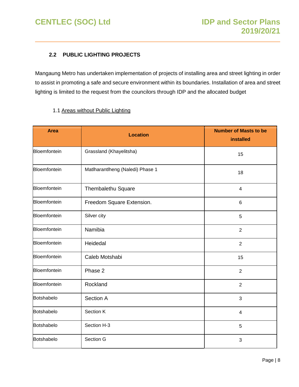### <span id="page-7-0"></span>**2.2 PUBLIC LIGHTING PROJECTS**

Mangaung Metro has undertaken implementation of projects of installing area and street lighting in order to assist in promoting a safe and secure environment within its boundaries. Installation of area and street lighting is limited to the request from the councilors through IDP and the allocated budget

#### 1.1 Areas without Public Lighting

| <b>Area</b>               | <b>Location</b>                  | <b>Number of Masts to be</b><br><b>installed</b> |
|---------------------------|----------------------------------|--------------------------------------------------|
| Bloemfontein              | Grassland (Khayelitsha)          | 15                                               |
| Bloemfontein              | Matlharantlheng (Naledi) Phase 1 | 18                                               |
| Bloemfontein              | Thembalethu Square               | 4                                                |
| Bloemfontein              | Freedom Square Extension.        | 6                                                |
| Bloemfontein              | Silver city                      | 5                                                |
| Bloemfontein              | Namibia                          | $\overline{2}$                                   |
| Bloemfontein              | Heidedal                         | $\overline{2}$                                   |
| Bloemfontein              | Caleb Motshabi                   | 15                                               |
| Bloemfontein              | Phase 2                          | $\overline{2}$                                   |
| Bloemfontein              | Rockland                         | $\overline{2}$                                   |
| Botshabelo                | Section A                        | 3                                                |
| Section K<br>Botshabelo   |                                  | $\overline{\mathbf{4}}$                          |
| Section H-3<br>Botshabelo |                                  | 5                                                |
| Botshabelo                | Section G                        | 3                                                |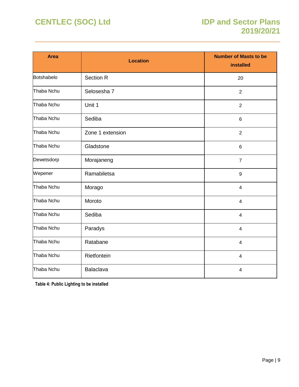| <b>Area</b> | <b>Location</b>  | <b>Number of Masts to be</b><br>installed |
|-------------|------------------|-------------------------------------------|
| Botshabelo  | <b>Section R</b> | 20                                        |
| Thaba Nchu  | Selosesha 7      | $\overline{2}$                            |
| Thaba Nchu  | Unit 1           | $\overline{2}$                            |
| Thaba Nchu  | Sediba           | $\,6$                                     |
| Thaba Nchu  | Zone 1 extension | $\overline{2}$                            |
| Thaba Nchu  | Gladstone        | $\,6$                                     |
| Dewetsdorp  | Morajaneng       | $\overline{7}$                            |
| Wepener     | Ramabiletsa      | 9                                         |
| Thaba Nchu  | Morago           | $\overline{4}$                            |
| Thaba Nchu  | Moroto           | $\overline{4}$                            |
| Thaba Nchu  | Sediba           | $\overline{\mathbf{4}}$                   |
| Thaba Nchu  | Paradys          | $\overline{\mathbf{4}}$                   |
| Thaba Nchu  | Ratabane         | $\overline{\mathbf{4}}$                   |
| Thaba Nchu  | Rietfontein      | $\overline{\mathbf{4}}$                   |
| Thaba Nchu  | Balaclava        | $\overline{4}$                            |

<span id="page-8-0"></span>**Table 4: Public Lighting to be installed**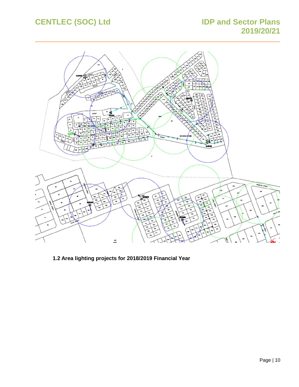# **CENTLEC (SOC) Ltd IDP and Sector Plans**

# **2019/20/21**



<span id="page-9-0"></span>**1.2 Area lighting projects for 2018/2019 Financial Year**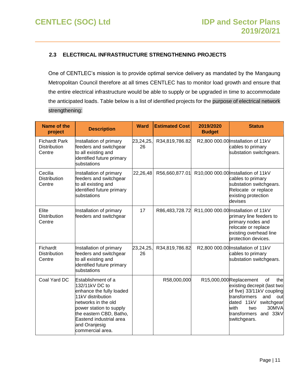#### <span id="page-10-0"></span>**2.3 ELECTRICAL INFRASTRUCTURE STRENGTHENING PROJECTS**

One of CENTLEC's mission is to provide optimal service delivery as mandated by the Mangaung Metropolitan Council therefore at all times CENTLEC has to monitor load growth and ensure that the entire electrical infrastructure would be able to supply or be upgraded in time to accommodate the anticipated loads. Table below is a list of identified projects for the purpose of electrical network strengthening:

| Name of the<br>project                                | <b>Description</b>                                                                                                                                                                                                                 | <b>Ward</b>     | <b>Estimated Cost</b> | 2019/2020<br><b>Budget</b> | <b>Status</b>                                                                                                                                                                                                               |
|-------------------------------------------------------|------------------------------------------------------------------------------------------------------------------------------------------------------------------------------------------------------------------------------------|-----------------|-----------------------|----------------------------|-----------------------------------------------------------------------------------------------------------------------------------------------------------------------------------------------------------------------------|
| <b>Fichardt Park</b><br><b>Distribution</b><br>Centre | Installation of primary<br>feeders and switchgear<br>to all existing and<br>identified future primary<br>substations                                                                                                               | 23,24,25,<br>26 | R34,819,786.82        |                            | R2,800 000.00 Installation of 11kV<br>cables to primary<br>substation switchgears.                                                                                                                                          |
| Cecilia<br><b>Distribution</b><br>Centre              | Installation of primary<br>feeders and switchgear<br>to all existing and<br>identified future primary<br>substations                                                                                                               | 22,26,48        | R56,660,877.01        |                            | R10,000 000.00 Installation of 11kV<br>cables to primary<br>substation switchgears.<br>Relocate or replace<br>existing protection<br>devises                                                                                |
| Elite<br><b>Distribution</b><br>Centre                | Installation of primary<br>feeders and switchgear                                                                                                                                                                                  | 17              | R86,483,728.72        |                            | R11,000 000.00 Installation of 11kV<br>primary line feeders to<br>primary nodes and<br>relocate or replace<br>existing overhead line<br>protection devices.                                                                 |
| Fichardt<br><b>Distribution</b><br>Centre             | Installation of primary<br>feeders and switchgear<br>to all existing and<br>identified future primary<br>substations                                                                                                               | 23,24,25,<br>26 | R34,819,786.82        |                            | R2,800 000.00 Installation of 11kV<br>cables to primary<br>substation switchgears.                                                                                                                                          |
| Coal Yard DC                                          | Establishment of a<br>132/11kV DC to<br>enhance the fully loaded<br>11kV distribution<br>networks in the old<br>power station to supply<br>the eastern CBD, Batho,<br>Eastend industrial area<br>and Oranjesig<br>commercial area. |                 | R58,000,000           |                            | R15,000,000Replacement<br>of<br>thel<br>existing decrepit (last two<br>of five) 33/11kV coupling<br>transformers<br>and<br>out<br>dated 11kV<br>switchgear<br>30MVA<br>with<br>two<br>transformers and 33kV<br>switchgears. |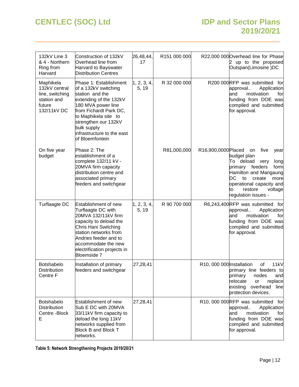## **CENTLEC (SOC) Ltd IDP and Sector Plans 2019/20/21**

| 132kV Line 3<br>& 4 - Northern<br>Ring from<br>Harvard                                | Construction of 132kV<br>Overhead line from<br>Harvard to Bayswater<br><b>Distribution Centres</b>                                                                                                                                                          | 26,48,44,<br>17      | R151 000 000 |                           | R22,000 000 Overhead line for Phase<br>up to the proposed<br>Outspan(Limosine)DC                                                                                                                                                |
|---------------------------------------------------------------------------------------|-------------------------------------------------------------------------------------------------------------------------------------------------------------------------------------------------------------------------------------------------------------|----------------------|--------------|---------------------------|---------------------------------------------------------------------------------------------------------------------------------------------------------------------------------------------------------------------------------|
| Maphikela<br>132kV central<br>line, switching<br>station and<br>future<br>132/11kV DC | Phase 1: Establishment<br>of a 132kV switching<br>station and the<br>extending of the 132kV<br>180 MVA power line<br>from Fichardt Park DC,<br>to Maphikela site to<br>strengthen our 132kV<br>bulk supply<br>infrastructure to the east<br>of Bloemfontein | 1, 2, 3, 4,<br>5, 19 | R 32 000 000 |                           | R200 000RFP was submitted for<br>Application<br>approval<br>motivation<br>and<br>for<br>funding from DOE was<br>compiled and submitted<br>for approval.                                                                         |
| On five year<br>budget                                                                | Phase 2: The<br>establishment of a<br>complete 132/11 kV -<br>20MVA firm capacity<br>distribution centre and<br>associated primary<br>feeders and switchgear                                                                                                |                      | R81,000,000  | R16,900,0000Placed        | five<br>on<br>year<br>budget plan<br>To deload<br>very<br>long<br>primary feeders<br>form<br>Hamilton and Mangaung<br>DC<br>to<br>create<br>more<br>operational capacity and<br>restore<br>voltage<br>to<br>regulation issues - |
| Turflaagte DC                                                                         | Establishment of new<br>Turflaagte DC with<br>20MVA 132/11kV firm<br>capacity to deload the<br>Chris Hani Switching<br>station networks from<br>Andries feeder and to<br>accommodate the new<br>electrification projects in<br>Bloemside 7                  | 1, 2, 3, 4,<br>5, 19 | R 90 700 000 |                           | R6,243,400 RFP was submitted for<br>approval.<br>Application<br>motivation<br>for<br>and<br>funding from DOE was<br>compiled and submitted<br>for approval.                                                                     |
| Botshabelo<br>Distribution<br>Centre F                                                | Installation of primary<br>feeders and switchgear                                                                                                                                                                                                           | 27,28,41             |              | R10, 000 000 Installation | 11kV<br>of<br>primary line feeders to<br>primary<br>nodes<br>and<br>relocate<br>replace<br>or<br>existing overhead<br>line<br>protection devices.                                                                               |
| <b>Botshabelo</b><br>Distribution<br>Centre - Block<br>E                              | Establishment of new<br>Sub E DC with 20MVA<br>33/11kV firm capacity to<br>deload the long 11kV<br>networks supplied from<br><b>Block B and Block T</b><br>networks.                                                                                        | 27,28,41             |              |                           | R10, 000 000 RFP was submitted for<br>approval<br>Application<br>motivation<br>and<br>for<br>funding from DOE was<br>compiled and submitted<br>for approval.                                                                    |

<span id="page-11-0"></span>**Table 5: Network Strengthening Projects 2019/20/21**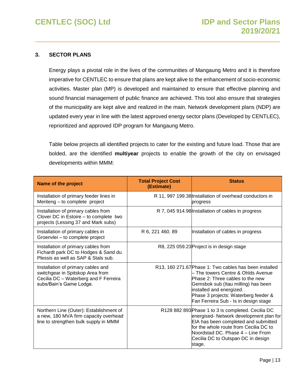#### <span id="page-12-0"></span>**3. SECTOR PLANS**

Energy plays a pivotal role in the lives of the communities of Mangaung Metro and it is therefore imperative for CENTLEC to ensure that plans are kept alive to the enhancement of socio-economic activities. Master plan (MP) is developed and maintained to ensure that effective planning and sound financial management of public finance are achieved. This tool also ensure that strategies of the municipality are kept alive and realized in the main. Network development plans (NDP) are updated every year in line with the latest approved energy sector plans (Developed by CENTLEC), reprioritized and approved IDP program for Mangaung Metro.

Table below projects all identified projects to cater for the existing and future load. Those that are bolded, are the identified **multiyear** projects to enable the growth of the city on envisaged developments within MMM:

| <b>Name of the project</b>                                                                                                                 | <b>Total Project Cost</b><br>(Estimate) | <b>Status</b>                                                                                                                                                                                                                                                                        |
|--------------------------------------------------------------------------------------------------------------------------------------------|-----------------------------------------|--------------------------------------------------------------------------------------------------------------------------------------------------------------------------------------------------------------------------------------------------------------------------------------|
| Installation of primary feeder lines in<br>Meriteng - to complete project                                                                  |                                         | R 11, 997 199.38 Installation of overhead conductors in<br>progress                                                                                                                                                                                                                  |
| Installation of primary cables from<br>Clover DC in Estoire - to complete two<br>projects (Lessing 37 and Mark subs)                       |                                         | R 7, 045 914.98 Installation of cables in progress                                                                                                                                                                                                                                   |
| Installation of primary cables in<br>Groenvlei - to complete project                                                                       | R 6, 221 460.89                         | Installation of cables in progress                                                                                                                                                                                                                                                   |
| Installation of primary cables from<br>Fichardt park DC to Hodges & Sand du<br>Plessis as well as SAP & Stals sub.                         |                                         | R8, 225 059.23 Project is in design stage                                                                                                                                                                                                                                            |
| Installation of primary cables and<br>switchgear in Spitskop Area from<br>Cecilia DC - Waterberg and F Ferreira<br>subs/Bain's Game Lodge. |                                         | R13, 160 271.67 Phase 1: Two cables has been installed<br>- The towers Centre & Ohlds Avenue<br>Phase 2: Three cables to the new<br>Gemsbok sub (Itau milling) has been<br>installed and energized.<br>Phase 3 projects: Waterberg feeder &<br>Fan Ferreira Sub - Is in design stage |
| Northern Line (Outer): Establishment of<br>a new, 180 MVA firm capacity overhead<br>line to strengthen bulk supply in MMM                  |                                         | R128 882 893 Phase 1 to 3 is completed. Cecilia DC<br>energised- Network development plan for<br>EIA has been completed and submitted<br>for the whole route from Cecilia DC to<br>Noordstad DC. Phase 4 - Line From<br>Cecilia DC to Outspan DC in design<br>stage.                 |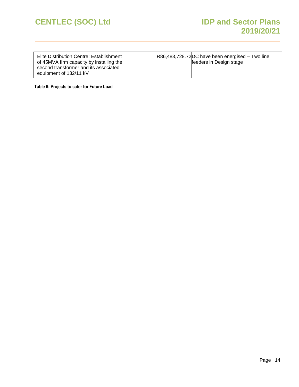| Elite Distribution Centre: Establishment | R86,483,728.72 DC have been energised - Two line |
|------------------------------------------|--------------------------------------------------|
| of 45MVA firm capacity by installing the | feeders in Design stage                          |
| second transformer and its associated    |                                                  |
| equipment of 132/11 kV                   |                                                  |

<span id="page-13-0"></span>**Table 6: Projects to cater for Future Load**